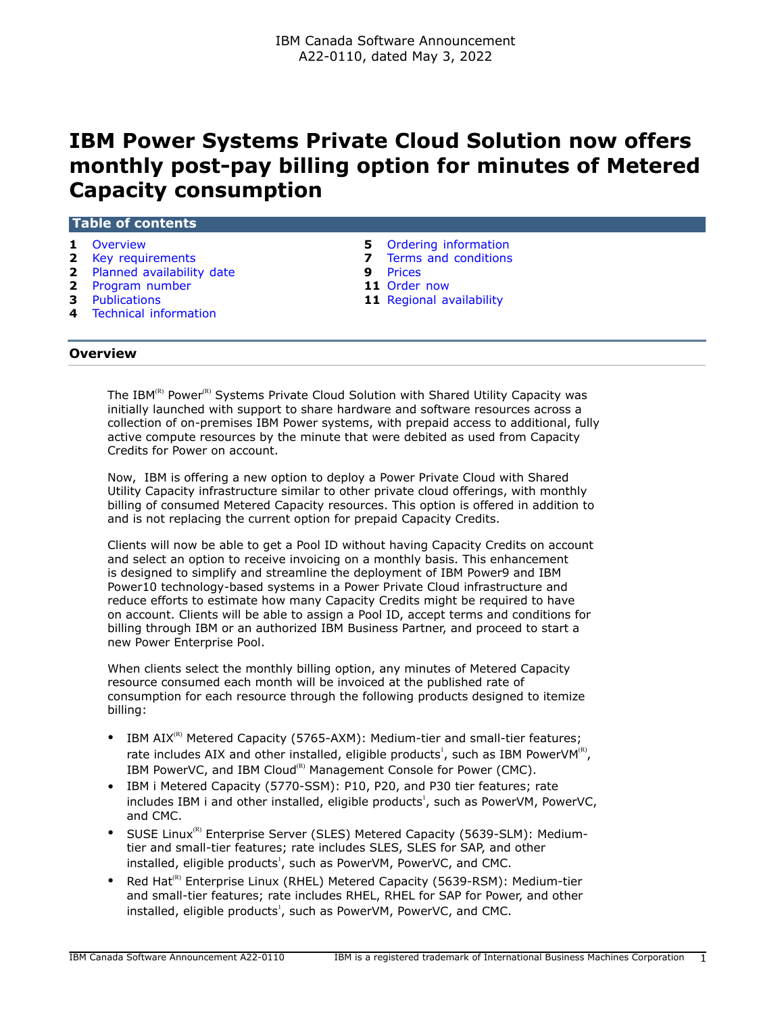# **IBM Power Systems Private Cloud Solution now offers monthly post-pay billing option for minutes of Metered Capacity consumption**

| Table of contents<br>Overview |   |                          |
|-------------------------------|---|--------------------------|
| $\mathbf{1}$                  |   | 5 Ordering information   |
| 2 Key requirements            |   | Terms and conditions     |
| 2 Planned availability date   | 9 | Prices                   |
| 2 Program number              |   | 11 Order now             |
| <b>3</b> Publications         |   | 11 Regional availability |
| 4 Technical information       |   |                          |
| <b>Overview</b>               |   |                          |

<span id="page-0-0"></span>The IBM<sup>(R)</sup> Power<sup>(R)</sup> Systems Private Cloud Solution with Shared Utility Capacity was initially launched with support to share hardware and software resources across a collection of on-premises IBM Power systems, with prepaid access to additional, fully active compute resources by the minute that were debited as used from Capacity Credits for Power on account.

Now, IBM is offering a new option to deploy a Power Private Cloud with Shared Utility Capacity infrastructure similar to other private cloud offerings, with monthly billing of consumed Metered Capacity resources. This option is offered in addition to and is not replacing the current option for prepaid Capacity Credits.

Clients will now be able to get a Pool ID without having Capacity Credits on account and select an option to receive invoicing on a monthly basis. This enhancement is designed to simplify and streamline the deployment of IBM Power9 and IBM Power10 technology-based systems in a Power Private Cloud infrastructure and reduce efforts to estimate how many Capacity Credits might be required to have on account. Clients will be able to assign a Pool ID, accept terms and conditions for billing through IBM or an authorized IBM Business Partner, and proceed to start a new Power Enterprise Pool.

When clients select the monthly billing option, any minutes of Metered Capacity resource consumed each month will be invoiced at the published rate of consumption for each resource through the following products designed to itemize billing:

- IBM  $AIX^{(R)}$  Metered Capacity (5765-AXM): Medium-tier and small-tier features; rate includes AIX and other installed, eligible products<sup>1</sup>, such as IBM PowerVM $^{(R)}$ , IBM PowerVC, and IBM Cloud<sup>(R)</sup> Management Console for Power (CMC).
- IBM i Metered Capacity (5770-SSM): P10, P20, and P30 tier features; rate includes IBM i and other installed, eligible products<sup>1</sup>, such as PowerVM, PowerVC, and CMC.
- SUSE Linux<sup>(R)</sup> Enterprise Server (SLES) Metered Capacity (5639-SLM): Mediumtier and small-tier features; rate includes SLES, SLES for SAP, and other installed, eligible products<sup>1</sup>, such as PowerVM, PowerVC, and CMC.
- Red Hat<sup>(R)</sup> Enterprise Linux (RHEL) Metered Capacity (5639-RSM): Medium-tier and small-tier features; rate includes RHEL, RHEL for SAP for Power, and other installed, eligible products<sup>1</sup>, such as PowerVM, PowerVC, and CMC.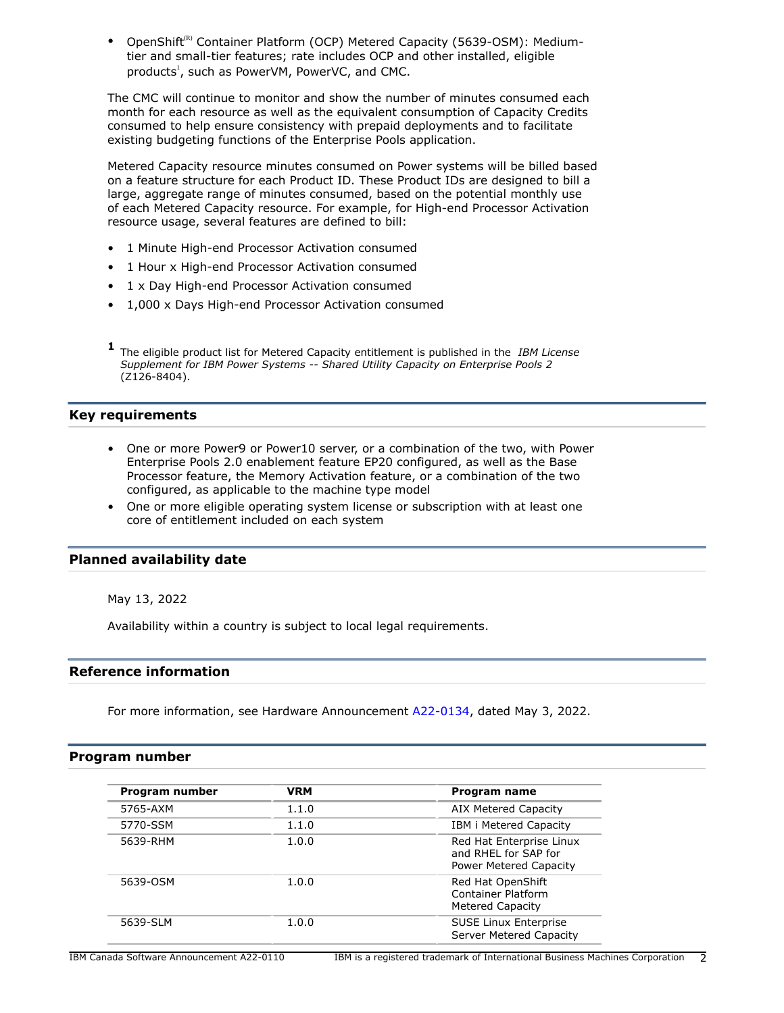OpenShift<sup>(R)</sup> Container Platform (OCP) Metered Capacity (5639-OSM): Mediumtier and small-tier features; rate includes OCP and other installed, eligible products<sup>1</sup>, such as PowerVM, PowerVC, and CMC.

The CMC will continue to monitor and show the number of minutes consumed each month for each resource as well as the equivalent consumption of Capacity Credits consumed to help ensure consistency with prepaid deployments and to facilitate existing budgeting functions of the Enterprise Pools application.

Metered Capacity resource minutes consumed on Power systems will be billed based on a feature structure for each Product ID. These Product IDs are designed to bill a large, aggregate range of minutes consumed, based on the potential monthly use of each Metered Capacity resource. For example, for High-end Processor Activation resource usage, several features are defined to bill:

- 1 Minute High-end Processor Activation consumed
- 1 Hour x High-end Processor Activation consumed
- 1 x Day High-end Processor Activation consumed
- 1,000 x Days High-end Processor Activation consumed
- **1** The eligible product list for Metered Capacity entitlement is published in the *IBM License Supplement for IBM Power Systems -- Shared Utility Capacity on Enterprise Pools 2* (Z126-8404).

# <span id="page-1-0"></span>**Key requirements**

- One or more Power9 or Power10 server, or a combination of the two, with Power Enterprise Pools 2.0 enablement feature EP20 configured, as well as the Base Processor feature, the Memory Activation feature, or a combination of the two configured, as applicable to the machine type model
- One or more eligible operating system license or subscription with at least one core of entitlement included on each system

# <span id="page-1-1"></span>**Planned availability date**

May 13, 2022

Availability within a country is subject to local legal requirements.

# **Reference information**

For more information, see Hardware Announcement [A22-0134,](http://www.ibm.com/common/ssi/cgi-bin/ssialias?infotype=an&subtype=ca&appname=gpateam&supplier=649&letternum=ENUSA22-0134) dated May 3, 2022.

## <span id="page-1-2"></span>**Program number**

| Program number | <b>VRM</b> | Program name                                                               |
|----------------|------------|----------------------------------------------------------------------------|
| 5765-AXM       | 1.1.0      | AIX Metered Capacity                                                       |
| 5770-SSM       | 1.1.0      | IBM i Metered Capacity                                                     |
| 5639-RHM       | 1.0.0      | Red Hat Enterprise Linux<br>and RHEL for SAP for<br>Power Metered Capacity |
| 5639-OSM       | 1.0.0      | Red Hat OpenShift<br>Container Platform<br>Metered Capacity                |
| 5639-SLM       | 1.0.0      | <b>SUSE Linux Enterprise</b><br>Server Metered Capacity                    |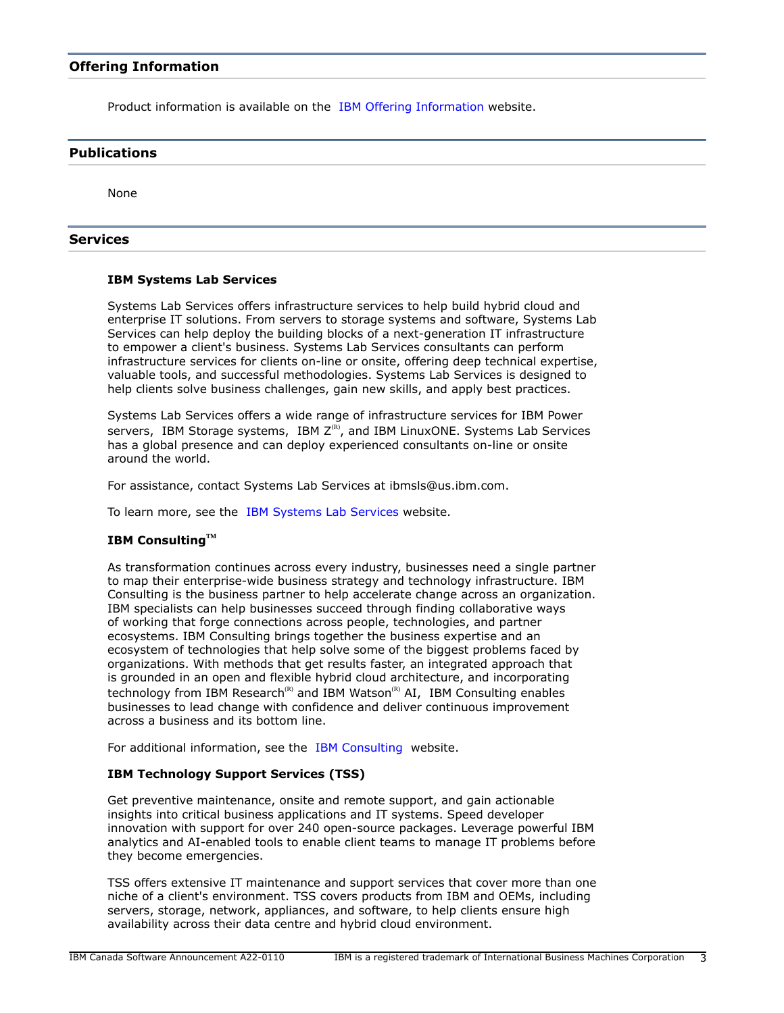Product information is available on the [IBM Offering Information](http://www.ibm.com/common/ssi) website.

## <span id="page-2-0"></span>**Publications**

None

## **Services**

## **IBM Systems Lab Services**

Systems Lab Services offers infrastructure services to help build hybrid cloud and enterprise IT solutions. From servers to storage systems and software, Systems Lab Services can help deploy the building blocks of a next-generation IT infrastructure to empower a client's business. Systems Lab Services consultants can perform infrastructure services for clients on-line or onsite, offering deep technical expertise, valuable tools, and successful methodologies. Systems Lab Services is designed to help clients solve business challenges, gain new skills, and apply best practices.

Systems Lab Services offers a wide range of infrastructure services for IBM Power servers, IBM Storage systems, IBM  $Z^{(R)}$ , and IBM LinuxONE. Systems Lab Services has a global presence and can deploy experienced consultants on-line or onsite around the world.

For assistance, contact Systems Lab Services at ibmsls@us.ibm.com.

To learn more, see the [IBM Systems Lab Services](https://www.ibm.com/it-infrastructure/services/lab-services) website.

# **IBM ConsultingTM**

As transformation continues across every industry, businesses need a single partner to map their enterprise-wide business strategy and technology infrastructure. IBM Consulting is the business partner to help accelerate change across an organization. IBM specialists can help businesses succeed through finding collaborative ways of working that forge connections across people, technologies, and partner ecosystems. IBM Consulting brings together the business expertise and an ecosystem of technologies that help solve some of the biggest problems faced by organizations. With methods that get results faster, an integrated approach that is grounded in an open and flexible hybrid cloud architecture, and incorporating technology from IBM Research<sup>(R)</sup> and IBM Watson<sup>(R)</sup> AI, IBM Consulting enables businesses to lead change with confidence and deliver continuous improvement across a business and its bottom line.

For additional information, see the [IBM Consulting](https://www.ibm.com/consulting) website.

# **IBM Technology Support Services (TSS)**

Get preventive maintenance, onsite and remote support, and gain actionable insights into critical business applications and IT systems. Speed developer innovation with support for over 240 open-source packages. Leverage powerful IBM analytics and AI-enabled tools to enable client teams to manage IT problems before they become emergencies.

TSS offers extensive IT maintenance and support services that cover more than one niche of a client's environment. TSS covers products from IBM and OEMs, including servers, storage, network, appliances, and software, to help clients ensure high availability across their data centre and hybrid cloud environment.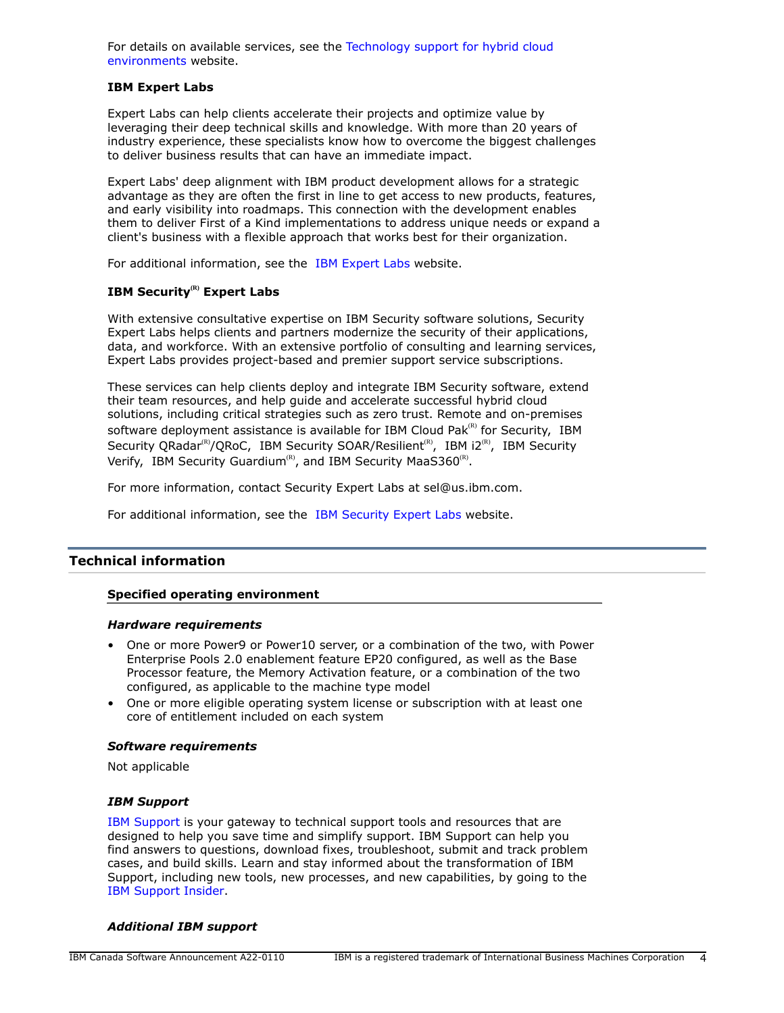For details on available services, see the [Technology support for hybrid cloud](https://www.ibm.com/services/technology-support) [environments](https://www.ibm.com/services/technology-support) website.

## **IBM Expert Labs**

Expert Labs can help clients accelerate their projects and optimize value by leveraging their deep technical skills and knowledge. With more than 20 years of industry experience, these specialists know how to overcome the biggest challenges to deliver business results that can have an immediate impact.

Expert Labs' deep alignment with IBM product development allows for a strategic advantage as they are often the first in line to get access to new products, features, and early visibility into roadmaps. This connection with the development enables them to deliver First of a Kind implementations to address unique needs or expand a client's business with a flexible approach that works best for their organization.

For additional information, see the [IBM Expert Labs](https://www.ibm.com/products/expertlabs) website.

# **IBM Security(R) Expert Labs**

With extensive consultative expertise on IBM Security software solutions, Security Expert Labs helps clients and partners modernize the security of their applications, data, and workforce. With an extensive portfolio of consulting and learning services, Expert Labs provides project-based and premier support service subscriptions.

These services can help clients deploy and integrate IBM Security software, extend their team resources, and help guide and accelerate successful hybrid cloud solutions, including critical strategies such as zero trust. Remote and on-premises software deployment assistance is available for IBM Cloud Pak ${}^{\text{\tiny(R)}}$  for Security, IBM Security QRadar<sup>(R)</sup>/QRoC, IBM Security SOAR/Resilient<sup>(R)</sup>, IBM i2<sup>(R)</sup>, IBM Security Verify, IBM Security Guardium<sup>(R)</sup>, and IBM Security MaaS360<sup>(R)</sup>.

For more information, contact Security Expert Labs at sel@us.ibm.com.

For additional information, see the [IBM Security Expert Labs](https://www.ibm.com/security/security-expert-labs) website.

## <span id="page-3-0"></span>**Technical information**

## **Specified operating environment**

#### *Hardware requirements*

- One or more Power9 or Power10 server, or a combination of the two, with Power Enterprise Pools 2.0 enablement feature EP20 configured, as well as the Base Processor feature, the Memory Activation feature, or a combination of the two configured, as applicable to the machine type model
- One or more eligible operating system license or subscription with at least one core of entitlement included on each system

## *Software requirements*

Not applicable

## *IBM Support*

[IBM Support](https://www.ibm.com/support) is your gateway to technical support tools and resources that are designed to help you save time and simplify support. IBM Support can help you find answers to questions, download fixes, troubleshoot, submit and track problem cases, and build skills. Learn and stay informed about the transformation of IBM Support, including new tools, new processes, and new capabilities, by going to the [IBM Support Insider](https://www.ibm.com/support/insider).

#### *Additional IBM support*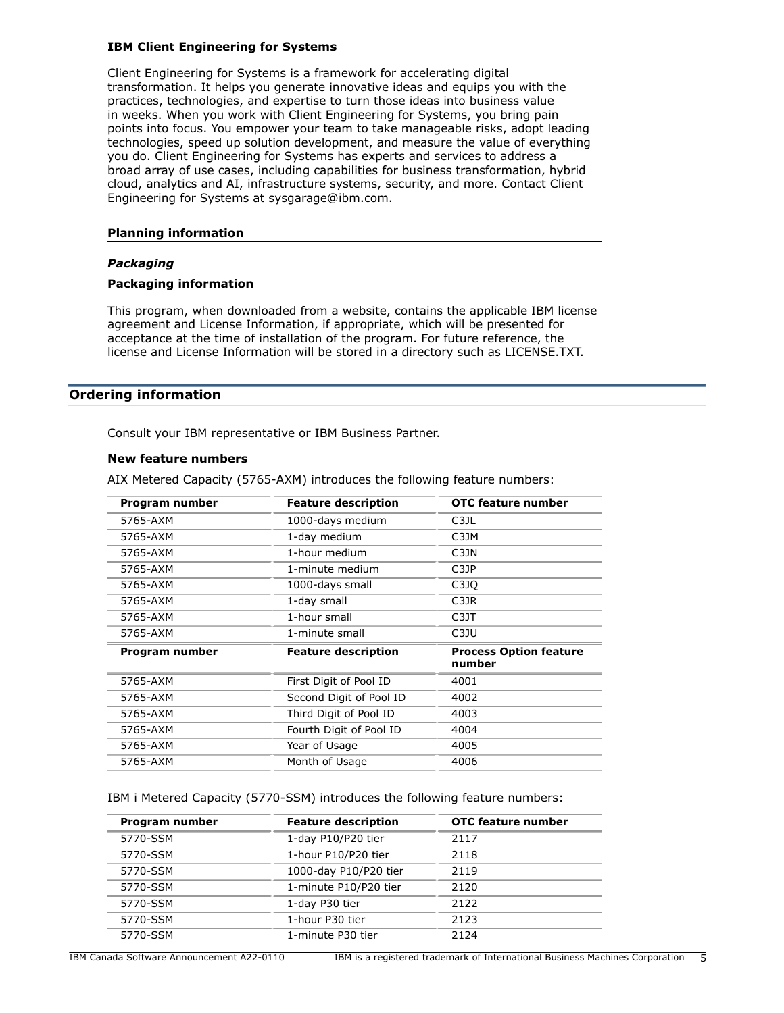## **IBM Client Engineering for Systems**

Client Engineering for Systems is a framework for accelerating digital transformation. It helps you generate innovative ideas and equips you with the practices, technologies, and expertise to turn those ideas into business value in weeks. When you work with Client Engineering for Systems, you bring pain points into focus. You empower your team to take manageable risks, adopt leading technologies, speed up solution development, and measure the value of everything you do. Client Engineering for Systems has experts and services to address a broad array of use cases, including capabilities for business transformation, hybrid cloud, analytics and AI, infrastructure systems, security, and more. Contact Client Engineering for Systems at sysgarage@ibm.com.

## **Planning information**

## *Packaging*

## **Packaging information**

This program, when downloaded from a website, contains the applicable IBM license agreement and License Information, if appropriate, which will be presented for acceptance at the time of installation of the program. For future reference, the license and License Information will be stored in a directory such as LICENSE.TXT.

# <span id="page-4-0"></span>**Ordering information**

Consult your IBM representative or IBM Business Partner.

#### **New feature numbers**

AIX Metered Capacity (5765-AXM) introduces the following feature numbers:

| Program number | <b>Feature description</b> | OTC feature number                      |
|----------------|----------------------------|-----------------------------------------|
| 5765-AXM       | 1000-days medium           | C3JL                                    |
| 5765-AXM       | 1-day medium               | C3JM                                    |
| 5765-AXM       | 1-hour medium              | C3JN                                    |
| 5765-AXM       | 1-minute medium            | C3JP                                    |
| 5765-AXM       | 1000-days small            | C3JO                                    |
| 5765-AXM       | 1-day small                | C3JR                                    |
| 5765-AXM       | 1-hour small               | C3JT                                    |
| 5765-AXM       | 1-minute small             | C <sub>3</sub> JU                       |
| Program number | <b>Feature description</b> | <b>Process Option feature</b><br>number |
| 5765-AXM       | First Digit of Pool ID     | 4001                                    |
| 5765-AXM       | Second Digit of Pool ID    | 4002                                    |
| 5765-AXM       | Third Digit of Pool ID     | 4003                                    |
| 5765-AXM       | Fourth Digit of Pool ID    | 4004                                    |
| 5765-AXM       | Year of Usage              | 4005                                    |
| 5765-AXM       | Month of Usage             | 4006                                    |

IBM i Metered Capacity (5770-SSM) introduces the following feature numbers:

| Program number | <b>Feature description</b> | <b>OTC feature number</b> |
|----------------|----------------------------|---------------------------|
| 5770-SSM       | 1-day P10/P20 tier         | 2117                      |
| 5770-SSM       | 1-hour P10/P20 tier        | 2118                      |
| 5770-SSM       | 1000-day P10/P20 tier      | 2119                      |
| 5770-SSM       | 1-minute P10/P20 tier      | 2120                      |
| 5770-SSM       | 1-day P30 tier             | 2122                      |
| 5770-SSM       | 1-hour P30 tier            | 2123                      |
| 5770-SSM       | 1-minute P30 tier          | 2124                      |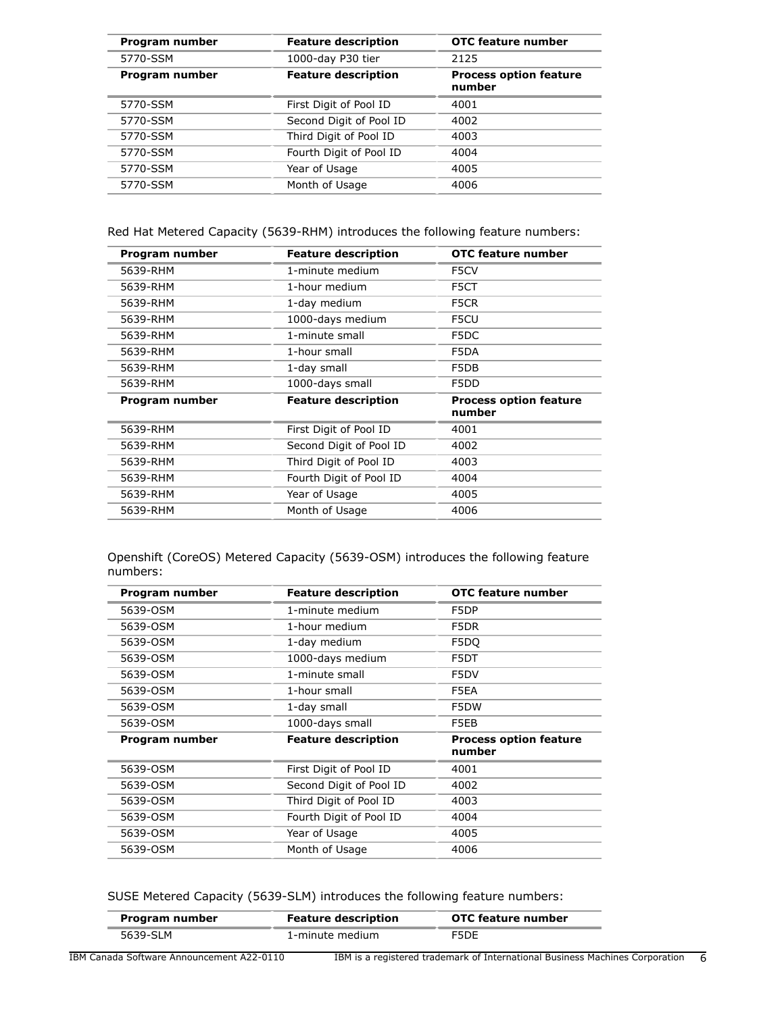| Program number | <b>Feature description</b> | OTC feature number                      |
|----------------|----------------------------|-----------------------------------------|
| 5770-SSM       | 1000-day P30 tier          | 2125                                    |
| Program number | <b>Feature description</b> | <b>Process option feature</b><br>number |
| 5770-SSM       | First Digit of Pool ID     | 4001                                    |
| 5770-SSM       | Second Digit of Pool ID    | 4002                                    |
| 5770-SSM       | Third Digit of Pool ID     | 4003                                    |
| 5770-SSM       | Fourth Digit of Pool ID    | 4004                                    |
| 5770-SSM       | Year of Usage              | 4005                                    |
| 5770-SSM       | Month of Usage             | 4006                                    |

Red Hat Metered Capacity (5639-RHM) introduces the following feature numbers:

| Program number | <b>Feature description</b> | OTC feature number                      |
|----------------|----------------------------|-----------------------------------------|
| 5639-RHM       | 1-minute medium            | F5CV                                    |
| 5639-RHM       | 1-hour medium              | F5CT                                    |
| 5639-RHM       | 1-day medium               | F5CR                                    |
| 5639-RHM       | 1000-days medium           | F5CU                                    |
| 5639-RHM       | 1-minute small             | F5DC                                    |
| 5639-RHM       | 1-hour small               | F5DA                                    |
| 5639-RHM       | 1-day small                | F5DB                                    |
| 5639-RHM       | 1000-days small            | F5DD                                    |
| Program number | <b>Feature description</b> | <b>Process option feature</b><br>number |
| 5639-RHM       | First Digit of Pool ID     | 4001                                    |
| 5639-RHM       | Second Digit of Pool ID    | 4002                                    |
| 5639-RHM       | Third Digit of Pool ID     | 4003                                    |
| 5639-RHM       | Fourth Digit of Pool ID    | 4004                                    |
| 5639-RHM       | Year of Usage              | 4005                                    |
| 5639-RHM       | Month of Usage             | 4006                                    |

Openshift (CoreOS) Metered Capacity (5639-OSM) introduces the following feature numbers:

| Program number | <b>Feature description</b> | OTC feature number                      |
|----------------|----------------------------|-----------------------------------------|
| 5639-OSM       | 1-minute medium            | F5DP                                    |
| 5639-OSM       | 1-hour medium              | F5DR                                    |
| 5639-OSM       | 1-day medium               | F5DO                                    |
| 5639-OSM       | 1000-days medium           | F5DT                                    |
| 5639-OSM       | 1-minute small             | F5DV                                    |
| 5639-OSM       | 1-hour small               | F5EA                                    |
| 5639-OSM       | 1-day small                | F5DW                                    |
| 5639-OSM       | 1000-days small            | F5EB                                    |
| Program number | <b>Feature description</b> | <b>Process option feature</b><br>number |
| 5639-OSM       | First Digit of Pool ID     | 4001                                    |
| 5639-OSM       | Second Digit of Pool ID    | 4002                                    |
| 5639-OSM       | Third Digit of Pool ID     | 4003                                    |
| 5639-OSM       | Fourth Digit of Pool ID    | 4004                                    |
| 5639-OSM       | Year of Usage              | 4005                                    |
| 5639-OSM       | Month of Usage             | 4006                                    |

SUSE Metered Capacity (5639-SLM) introduces the following feature numbers:

| Program number | <b>Feature description</b> | OTC feature number |
|----------------|----------------------------|--------------------|
| 5639-SLM       | 1-minute medium            | F5DE               |
|                |                            |                    |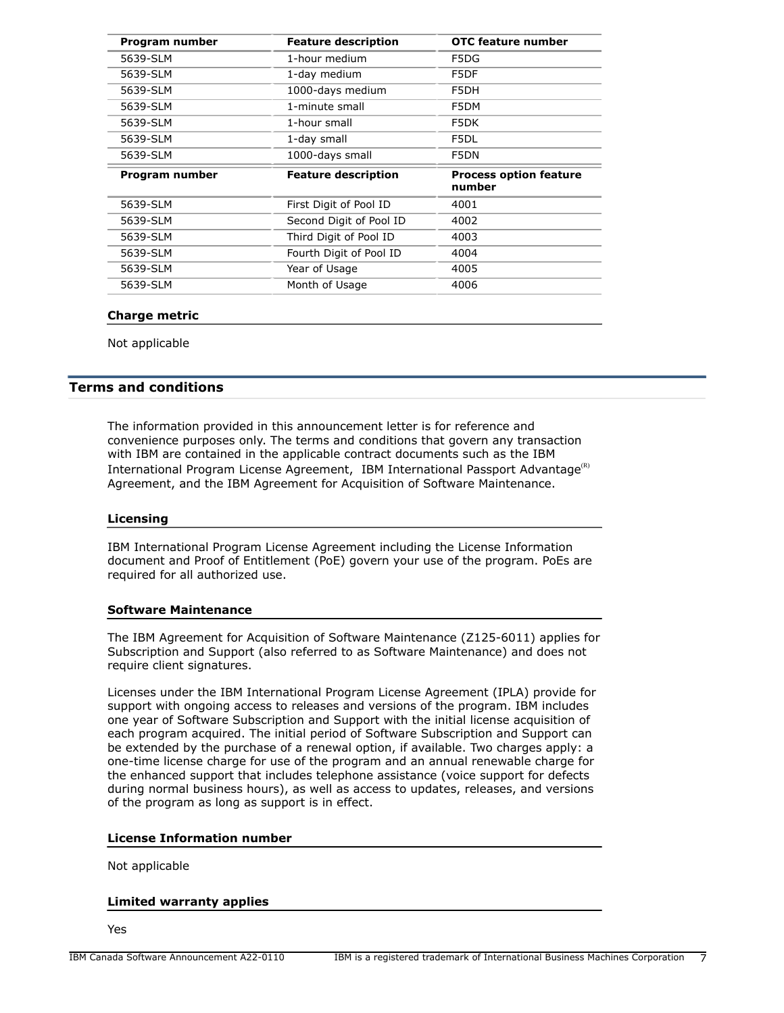| Program number | <b>Feature description</b> | OTC feature number                      |
|----------------|----------------------------|-----------------------------------------|
| 5639-SLM       | 1-hour medium              | F5DG                                    |
| 5639-SLM       | 1-day medium               | F5DF                                    |
| 5639-SLM       | 1000-days medium           | F5DH                                    |
| 5639-SLM       | 1-minute small             | F5DM                                    |
| 5639-SLM       | 1-hour small               | F5DK                                    |
| 5639-SLM       | 1-day small                | F5DL                                    |
| 5639-SLM       | 1000-days small            | F5DN                                    |
|                |                            |                                         |
| Program number | <b>Feature description</b> | <b>Process option feature</b><br>number |
| 5639-SLM       | First Digit of Pool ID     | 4001                                    |
| 5639-SLM       | Second Digit of Pool ID    | 4002                                    |
| 5639-SLM       | Third Digit of Pool ID     | 4003                                    |
| 5639-SLM       | Fourth Digit of Pool ID    | 4004                                    |
| 5639-SLM       | Year of Usage              | 4005                                    |

## **Charge metric**

Not applicable

## <span id="page-6-0"></span>**Terms and conditions**

The information provided in this announcement letter is for reference and convenience purposes only. The terms and conditions that govern any transaction with IBM are contained in the applicable contract documents such as the IBM International Program License Agreement, IBM International Passport Advantage<sup>(R)</sup> Agreement, and the IBM Agreement for Acquisition of Software Maintenance.

#### **Licensing**

IBM International Program License Agreement including the License Information document and Proof of Entitlement (PoE) govern your use of the program. PoEs are required for all authorized use.

## **Software Maintenance**

The IBM Agreement for Acquisition of Software Maintenance (Z125-6011) applies for Subscription and Support (also referred to as Software Maintenance) and does not require client signatures.

Licenses under the IBM International Program License Agreement (IPLA) provide for support with ongoing access to releases and versions of the program. IBM includes one year of Software Subscription and Support with the initial license acquisition of each program acquired. The initial period of Software Subscription and Support can be extended by the purchase of a renewal option, if available. Two charges apply: a one-time license charge for use of the program and an annual renewable charge for the enhanced support that includes telephone assistance (voice support for defects during normal business hours), as well as access to updates, releases, and versions of the program as long as support is in effect.

## **License Information number**

Not applicable

#### **Limited warranty applies**

Yes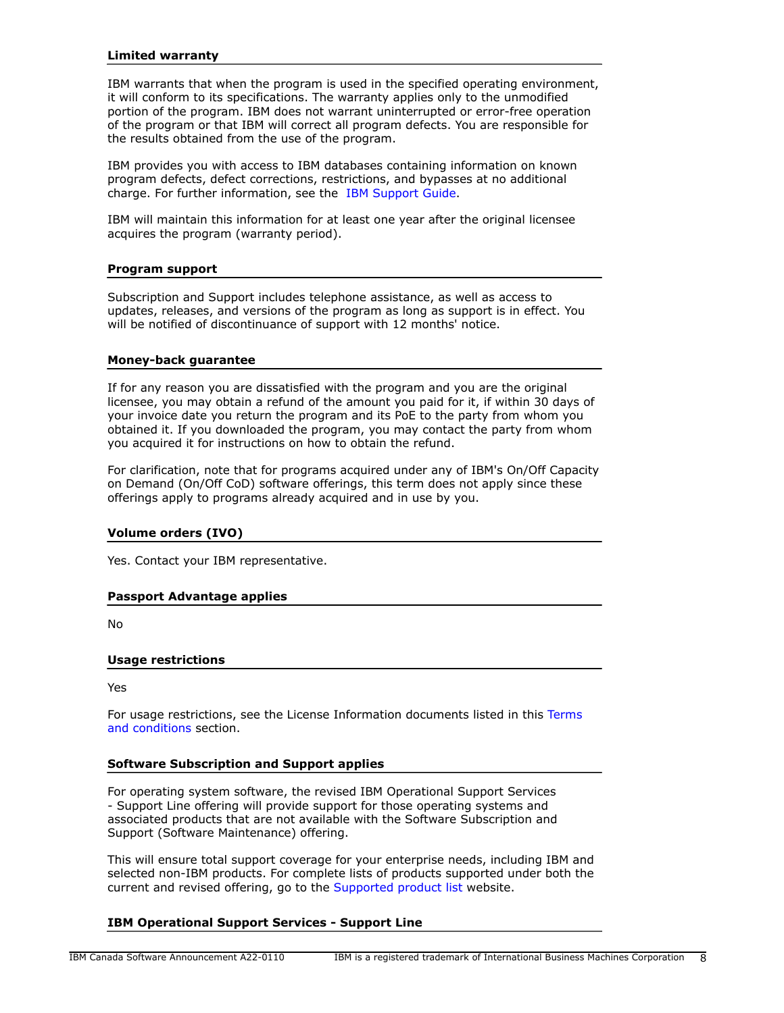## **Limited warranty**

IBM warrants that when the program is used in the specified operating environment, it will conform to its specifications. The warranty applies only to the unmodified portion of the program. IBM does not warrant uninterrupted or error-free operation of the program or that IBM will correct all program defects. You are responsible for the results obtained from the use of the program.

IBM provides you with access to IBM databases containing information on known program defects, defect corrections, restrictions, and bypasses at no additional charge. For further information, see the [IBM Support Guide](http://www.ibm.com/support/customercare/sas/f/handbook/home.html).

IBM will maintain this information for at least one year after the original licensee acquires the program (warranty period).

#### **Program support**

Subscription and Support includes telephone assistance, as well as access to updates, releases, and versions of the program as long as support is in effect. You will be notified of discontinuance of support with 12 months' notice.

#### **Money-back guarantee**

If for any reason you are dissatisfied with the program and you are the original licensee, you may obtain a refund of the amount you paid for it, if within 30 days of your invoice date you return the program and its PoE to the party from whom you obtained it. If you downloaded the program, you may contact the party from whom you acquired it for instructions on how to obtain the refund.

For clarification, note that for programs acquired under any of IBM's On/Off Capacity on Demand (On/Off CoD) software offerings, this term does not apply since these offerings apply to programs already acquired and in use by you.

## **Volume orders (IVO)**

Yes. Contact your IBM representative.

## **Passport Advantage applies**

No

## **Usage restrictions**

Yes

For usage restrictions, see the License Information documents listed in this [Terms](#page-6-0) [and conditions](#page-6-0) section.

## **Software Subscription and Support applies**

For operating system software, the revised IBM Operational Support Services - Support Line offering will provide support for those operating systems and associated products that are not available with the Software Subscription and Support (Software Maintenance) offering.

This will ensure total support coverage for your enterprise needs, including IBM and selected non-IBM products. For complete lists of products supported under both the current and revised offering, go to the [Supported product list](http://www-03.ibm.com/services/supline/products/index.html) website.

## **IBM Operational Support Services - Support Line**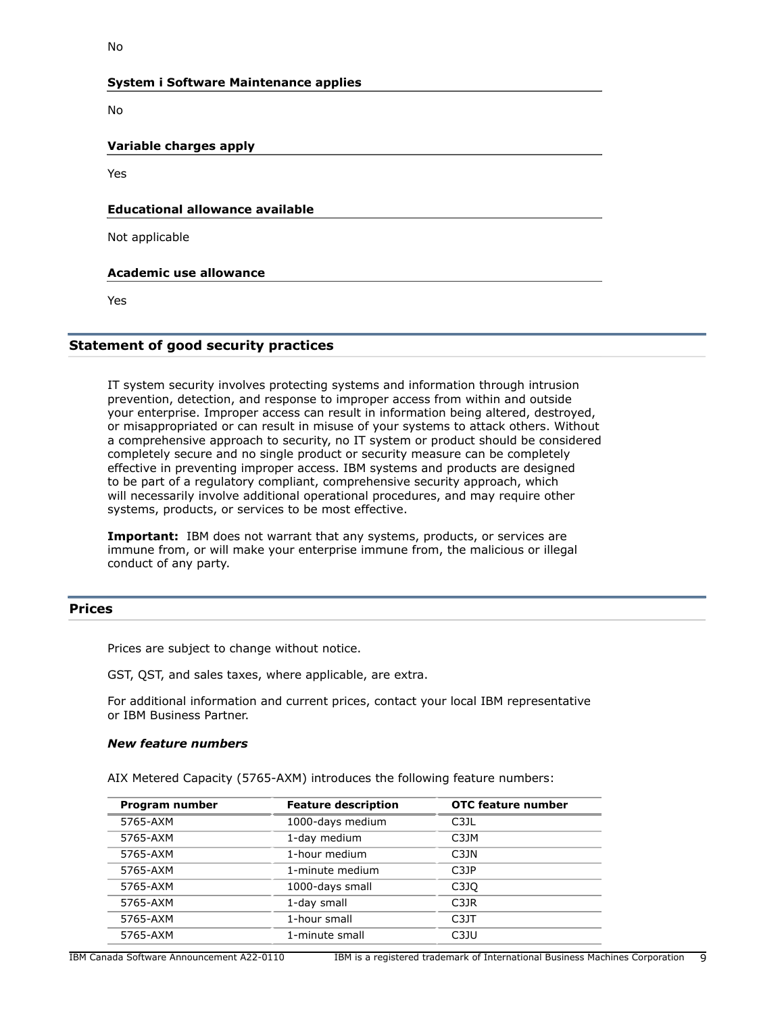## **System i Software Maintenance applies**

No

**Variable charges apply**

Yes

## **Educational allowance available**

Not applicable

## **Academic use allowance**

Yes

# **Statement of good security practices**

IT system security involves protecting systems and information through intrusion prevention, detection, and response to improper access from within and outside your enterprise. Improper access can result in information being altered, destroyed, or misappropriated or can result in misuse of your systems to attack others. Without a comprehensive approach to security, no IT system or product should be considered completely secure and no single product or security measure can be completely effective in preventing improper access. IBM systems and products are designed to be part of a regulatory compliant, comprehensive security approach, which will necessarily involve additional operational procedures, and may require other systems, products, or services to be most effective.

**Important:** IBM does not warrant that any systems, products, or services are immune from, or will make your enterprise immune from, the malicious or illegal conduct of any party.

# <span id="page-8-0"></span>**Prices**

Prices are subject to change without notice.

GST, QST, and sales taxes, where applicable, are extra.

For additional information and current prices, contact your local IBM representative or IBM Business Partner.

## *New feature numbers*

AIX Metered Capacity (5765-AXM) introduces the following feature numbers:

| Program number | <b>Feature description</b> | <b>OTC feature number</b> |
|----------------|----------------------------|---------------------------|
| 5765-AXM       | 1000-days medium           | C3JL                      |
| 5765-AXM       | 1-day medium               | C3JM                      |
| 5765-AXM       | 1-hour medium              | C3JN                      |
| 5765-AXM       | 1-minute medium            | C3JP                      |
| 5765-AXM       | 1000-days small            | C3JO                      |
| 5765-AXM       | 1-day small                | C3JR                      |
| 5765-AXM       | 1-hour small               | C <sub>3</sub> JT         |
| 5765-AXM       | 1-minute small             | C3JU                      |
|                |                            |                           |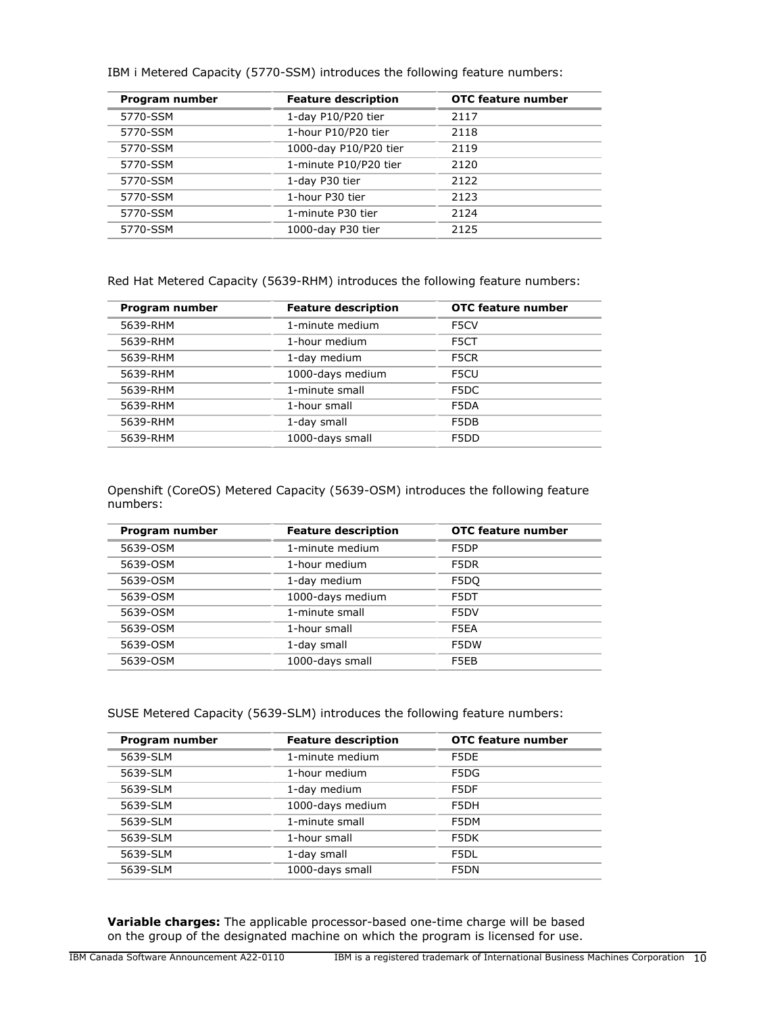| Program number | <b>Feature description</b> | <b>OTC</b> feature number |
|----------------|----------------------------|---------------------------|
| 5770-SSM       | 1-day P10/P20 tier         | 2117                      |
| 5770-SSM       | 1-hour P10/P20 tier        | 2118                      |
| 5770-SSM       | 1000-day P10/P20 tier      | 2119                      |
| 5770-SSM       | 1-minute P10/P20 tier      | 2120                      |
| 5770-SSM       | 1-day P30 tier             | 2122                      |
| 5770-SSM       | 1-hour P30 tier            | 2123                      |
| 5770-SSM       | 1-minute P30 tier          | 2124                      |
| 5770-SSM       | 1000-day P30 tier          | 2125                      |
|                |                            |                           |

IBM i Metered Capacity (5770-SSM) introduces the following feature numbers:

Red Hat Metered Capacity (5639-RHM) introduces the following feature numbers:

| Program number | <b>Feature description</b> | <b>OTC</b> feature number |
|----------------|----------------------------|---------------------------|
| 5639-RHM       | 1-minute medium            | F5CV                      |
| 5639-RHM       | 1-hour medium              | F5CT                      |
| 5639-RHM       | 1-day medium               | F5CR                      |
| 5639-RHM       | 1000-days medium           | F5CU                      |
| 5639-RHM       | 1-minute small             | F5DC                      |
| 5639-RHM       | 1-hour small               | F5DA                      |
| 5639-RHM       | 1-day small                | F5DB                      |
| 5639-RHM       | 1000-days small            | F5DD                      |
|                |                            |                           |

Openshift (CoreOS) Metered Capacity (5639-OSM) introduces the following feature numbers:

| Program number | <b>Feature description</b> | OTC feature number |
|----------------|----------------------------|--------------------|
| 5639-OSM       | 1-minute medium            | F5DP               |
| 5639-OSM       | 1-hour medium              | F5DR               |
| 5639-OSM       | 1-day medium               | F5DO               |
| 5639-OSM       | 1000-days medium           | F5DT               |
| 5639-OSM       | 1-minute small             | F5DV               |
| 5639-OSM       | 1-hour small               | F5EA               |
| 5639-OSM       | 1-day small                | F5DW               |
| 5639-OSM       | 1000-days small            | F5EB               |

SUSE Metered Capacity (5639-SLM) introduces the following feature numbers:

| Program number | <b>Feature description</b> | OTC feature number |
|----------------|----------------------------|--------------------|
| 5639-SLM       | 1-minute medium            | F5DE               |
| 5639-SLM       | 1-hour medium              | F5DG               |
| 5639-SLM       | 1-day medium               | F5DF               |
| 5639-SLM       | 1000-days medium           | F5DH               |
| 5639-SLM       | 1-minute small             | F5DM               |
| 5639-SLM       | 1-hour small               | F5DK               |
| 5639-SLM       | 1-day small                | F5DL               |
| 5639-SLM       | 1000-days small            | F5DN               |
|                |                            |                    |

**Variable charges:** The applicable processor-based one-time charge will be based on the group of the designated machine on which the program is licensed for use.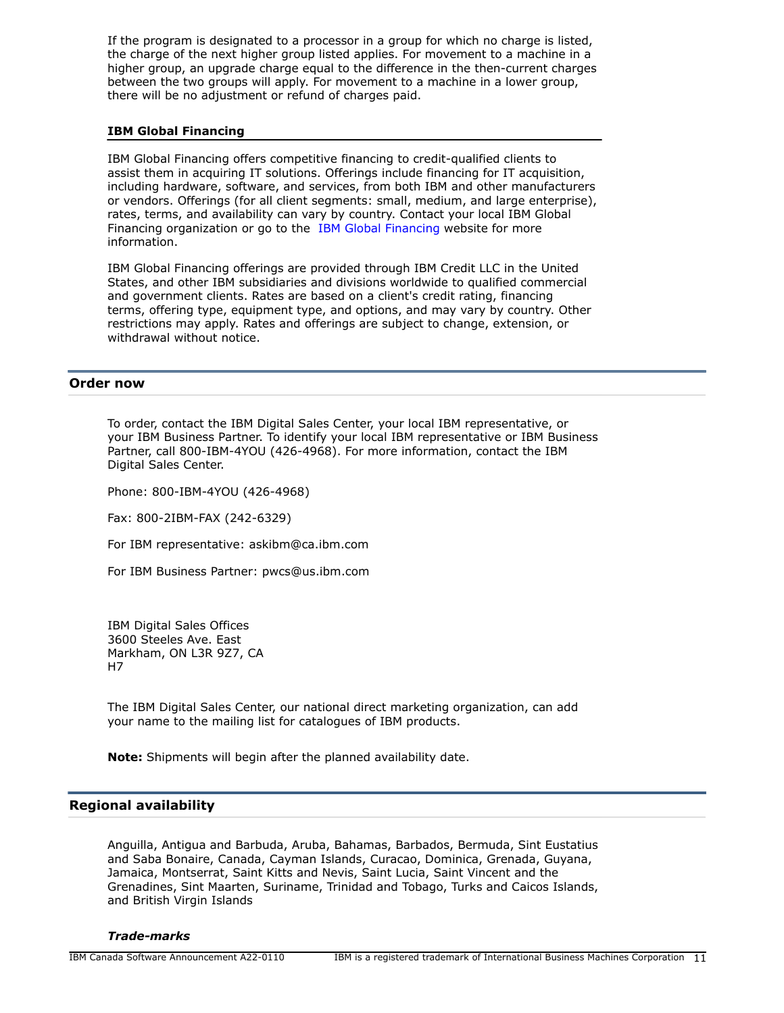If the program is designated to a processor in a group for which no charge is listed, the charge of the next higher group listed applies. For movement to a machine in a higher group, an upgrade charge equal to the difference in the then-current charges between the two groups will apply. For movement to a machine in a lower group, there will be no adjustment or refund of charges paid.

## **IBM Global Financing**

IBM Global Financing offers competitive financing to credit-qualified clients to assist them in acquiring IT solutions. Offerings include financing for IT acquisition, including hardware, software, and services, from both IBM and other manufacturers or vendors. Offerings (for all client segments: small, medium, and large enterprise), rates, terms, and availability can vary by country. Contact your local IBM Global Financing organization or go to the [IBM Global Financing](http://www.ibm.com/financing) website for more information.

IBM Global Financing offerings are provided through IBM Credit LLC in the United States, and other IBM subsidiaries and divisions worldwide to qualified commercial and government clients. Rates are based on a client's credit rating, financing terms, offering type, equipment type, and options, and may vary by country. Other restrictions may apply. Rates and offerings are subject to change, extension, or withdrawal without notice.

## <span id="page-10-0"></span>**Order now**

To order, contact the IBM Digital Sales Center, your local IBM representative, or your IBM Business Partner. To identify your local IBM representative or IBM Business Partner, call 800-IBM-4YOU (426-4968). For more information, contact the IBM Digital Sales Center.

Phone: 800-IBM-4YOU (426-4968)

Fax: 800-2IBM-FAX (242-6329)

For IBM representative: askibm@ca.ibm.com

For IBM Business Partner: pwcs@us.ibm.com

IBM Digital Sales Offices 3600 Steeles Ave. East Markham, ON L3R 9Z7, CA H7

The IBM Digital Sales Center, our national direct marketing organization, can add your name to the mailing list for catalogues of IBM products.

**Note:** Shipments will begin after the planned availability date.

## <span id="page-10-1"></span>**Regional availability**

Anguilla, Antigua and Barbuda, Aruba, Bahamas, Barbados, Bermuda, Sint Eustatius and Saba Bonaire, Canada, Cayman Islands, Curacao, Dominica, Grenada, Guyana, Jamaica, Montserrat, Saint Kitts and Nevis, Saint Lucia, Saint Vincent and the Grenadines, Sint Maarten, Suriname, Trinidad and Tobago, Turks and Caicos Islands, and British Virgin Islands

#### *Trade-marks*